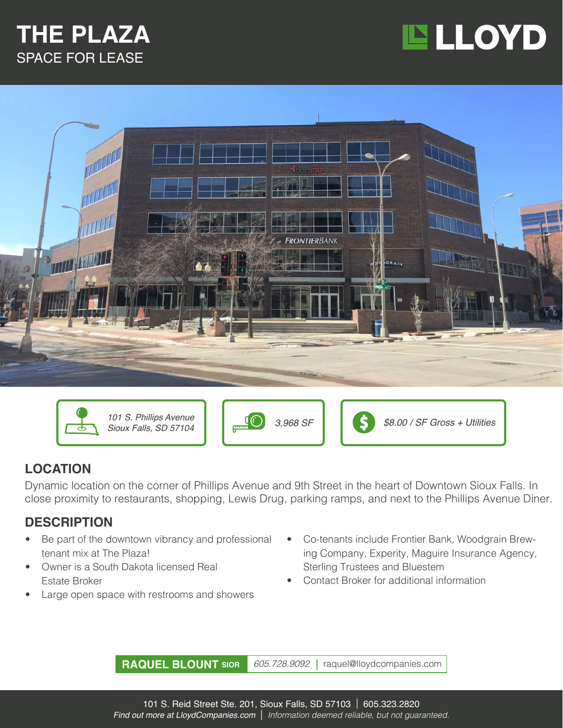### **THE PLAZA** SPACE FOR LEASE







*Sioux Falls, SD 57104*





#### **LOCATION**

Dynamic location on the corner of Phillips Avenue and 9th Street in the heart of Downtown Sioux Falls. In close proximity to restaurants, shopping, Lewis Drug, parking ramps, and next to the Phillips Avenue Diner.

#### **DESCRIPTION**

- Be part of the downtown vibrancy and professional tenant mix at The Plaza!
- Owner is a South Dakota licensed Real Estate Broker
- Large open space with restrooms and showers
- Co-tenants include Frontier Bank, Woodgrain Brewing Company, Experity, Maguire Insurance Agency, Sterling Trustees and Bluestem
- Contact Broker for additional information

**RAQUEL BLOUNT SIOR** *605.728.9092 |* raquel@lloydcompanies.com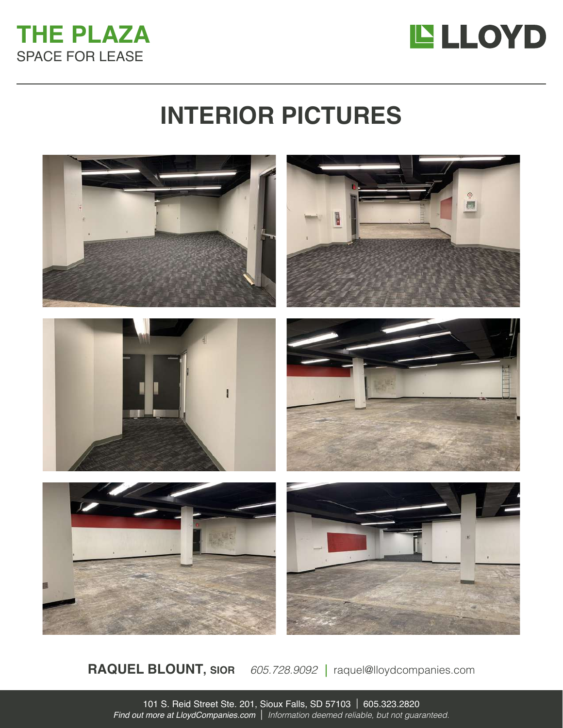



## **INTERIOR PICTURES**



**RAQUEL BLOUNT, SIOR** *605.728.9092 |* raquel@lloydcompanies.com

101 S. Reid Street Ste. 201, Sioux Falls, SD 57103 | 605.323.2820 *Find out more at LloydCompanies.com* | *Information deemed reliable, but not guaranteed.*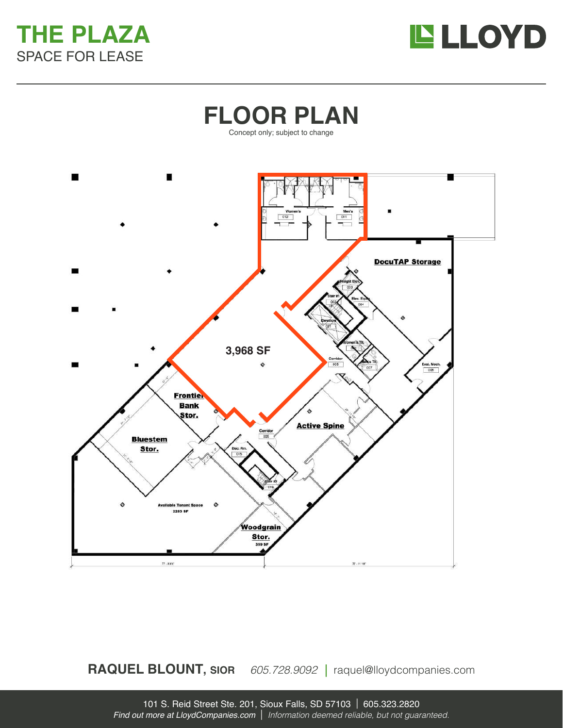





**RAQUEL BLOUNT, SIOR** *605.728.9092 |* raquel@lloydcompanies.com

101 S. Reid Street Ste. 201, Sioux Falls, SD 57103 | 605.323.2820 *Find out more at LloydCompanies.com* | *Information deemed reliable, but not guaranteed.*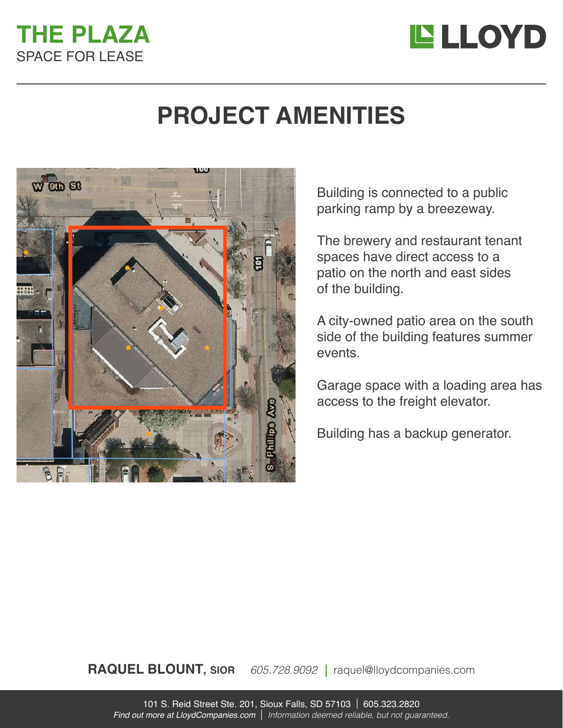### **THE PLAZA** SPACE FOR LEASE



## **PROJECT AMENITIES**



Building is connected to a public parking ramp by a breezeway.

The brewery and restaurant tenant spaces have direct access to a patio on the north and east sides of the building.

A city-owned patio area on the south side of the building features summer events.

Garage space with a loading area has access to the freight elevator.

Building has a backup generator.

**RAQUEL BLOUNT, SIOR** *605.728.9092 |* raquel@lloydcompanies.com